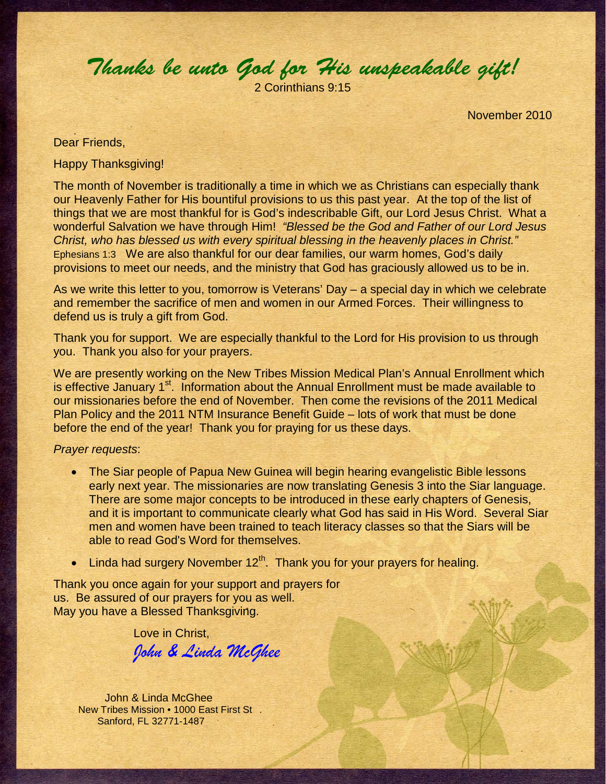Thanks be unto God for His unspeakable gift!

2 Corinthians 9:15

November 2010

## Dear Friends,

Happy Thanksgiving!

The month of November is traditionally a time in which we as Christians can especially thank our Heavenly Father for His bountiful provisions to us this past year. At the top of the list of things that we are most thankful for is God's indescribable Gift, our Lord Jesus Christ. What a wonderful Salvation we have through Him! "Blessed be the God and Father of our Lord Jesus Christ, who has blessed us with every spiritual blessing in the heavenly places in Christ." Ephesians 1:3 We are also thankful for our dear families, our warm homes, God's daily provisions to meet our needs, and the ministry that God has graciously allowed us to be in.

As we write this letter to you, tomorrow is Veterans' Day – a special day in which we celebrate and remember the sacrifice of men and women in our Armed Forces. Their willingness to defend us is truly a gift from God.

Thank you for support. We are especially thankful to the Lord for His provision to us through you. Thank you also for your prayers.

We are presently working on the New Tribes Mission Medical Plan's Annual Enrollment which is effective January 1<sup>st</sup>. Information about the Annual Enrollment must be made available to our missionaries before the end of November. Then come the revisions of the 2011 Medical Plan Policy and the 2011 NTM Insurance Benefit Guide – lots of work that must be done before the end of the year! Thank you for praying for us these days.

## Prayer requests:

- The Siar people of Papua New Guinea will begin hearing evangelistic Bible lessons early next year. The missionaries are now translating Genesis 3 into the Siar language. There are some major concepts to be introduced in these early chapters of Genesis, and it is important to communicate clearly what God has said in His Word. Several Siar men and women have been trained to teach literacy classes so that the Siars will be able to read God's Word for themselves.
- Linda had surgery November  $12<sup>th</sup>$ . Thank you for your prayers for healing.

Thank you once again for your support and prayers for us. Be assured of our prayers for you as well. May you have a Blessed Thanksgiving.

Love in Christ,

John & Linda McGhee

John & Linda McGhee New Tribes Mission • 1000 East First St Sanford, FL 32771-1487